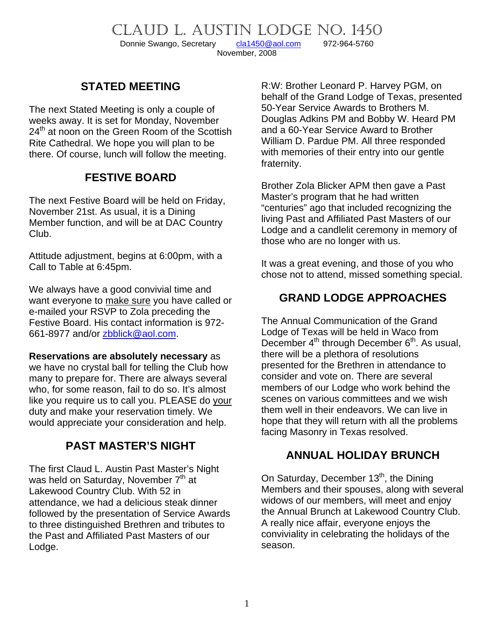CLAUD L. AUSTIN LODGE NO. 1450<br>Donnie Swango, Secretary cla1450@aol.com 972-964-5760

Donnie Swango, Secretary [cla1450@aol.com](mailto:cla1450@aol.com) 972-964-5760 November, 2008

## **STATED MEETING**

The next Stated Meeting is only a couple of weeks away. It is set for Monday, November 24<sup>th</sup> at noon on the Green Room of the Scottish Rite Cathedral. We hope you will plan to be there. Of course, lunch will follow the meeting.

#### **FESTIVE BOARD**

The next Festive Board will be held on Friday, November 21st. As usual, it is a Dining Member function, and will be at DAC Country Club.

Attitude adjustment, begins at 6:00pm, with a Call to Table at 6:45pm.

We always have a good convivial time and want everyone to make sure you have called or e-mailed your RSVP to Zola preceding the Festive Board. His contact information is 972- 661-8977 and/or [zbblick@aol.com](mailto:zbblick@aol.com).

**Reservations are absolutely necessary** as we have no crystal ball for telling the Club how many to prepare for. There are always several who, for some reason, fail to do so. It's almost like you require us to call you. PLEASE do your duty and make your reservation timely. We would appreciate your consideration and help.

#### **PAST MASTER'S NIGHT**

The first Claud L. Austin Past Master's Night was held on Saturday, November 7<sup>th</sup> at Lakewood Country Club. With 52 in attendance, we had a delicious steak dinner followed by the presentation of Service Awards to three distinguished Brethren and tributes to the Past and Affiliated Past Masters of our Lodge.

R:W: Brother Leonard P. Harvey PGM, on behalf of the Grand Lodge of Texas, presented 50-Year Service Awards to Brothers M. Douglas Adkins PM and Bobby W. Heard PM and a 60-Year Service Award to Brother William D. Pardue PM. All three responded with memories of their entry into our gentle fraternity.

Brother Zola Blicker APM then gave a Past Master's program that he had written "centuries" ago that included recognizing the living Past and Affiliated Past Masters of our Lodge and a candlelit ceremony in memory of those who are no longer with us.

It was a great evening, and those of you who chose not to attend, missed something special.

# **GRAND LODGE APPROACHES**

The Annual Communication of the Grand Lodge of Texas will be held in Waco from December  $4<sup>th</sup>$  through December  $6<sup>th</sup>$ . As usual, there will be a plethora of resolutions presented for the Brethren in attendance to consider and vote on. There are several members of our Lodge who work behind the scenes on various committees and we wish them well in their endeavors. We can live in hope that they will return with all the problems facing Masonry in Texas resolved.

#### **ANNUAL HOLIDAY BRUNCH**

On Saturday, December  $13<sup>th</sup>$ , the Dining Members and their spouses, along with several widows of our members, will meet and enjoy the Annual Brunch at Lakewood Country Club. A really nice affair, everyone enjoys the conviviality in celebrating the holidays of the season.